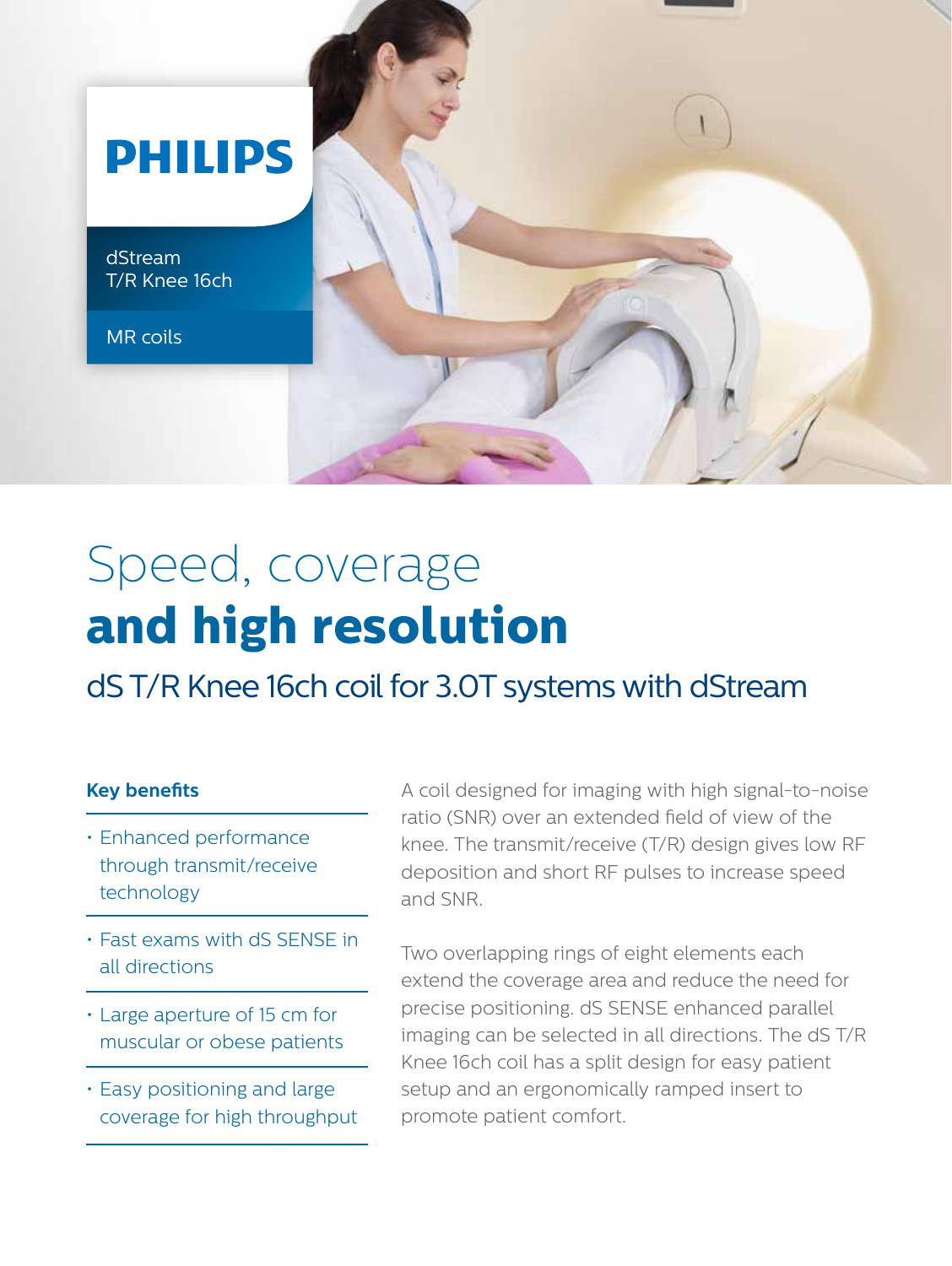

dStream T/R Knee 16ch

MR coils



## Speed, coverage **and high resolution**

dS T/R Knee 16ch coil for 3.0T systems with dStream

## **Key benefits**

- Enhanced performance through transmit/receive technology
- Fast exams with dS SENSE in all directions
- Large aperture of 15 cm for muscular or obese patients
- Easy positioning and large coverage for high throughput

A coil designed for imaging with high signal-to-noise ratio (SNR) over an extended field of view of the knee. The transmit/receive (T/R) design gives low RF deposition and short RF pulses to increase speed and SNR.

Two overlapping rings of eight elements each extend the coverage area and reduce the need for precise positioning. dS SENSE enhanced parallel imaging can be selected in all directions. The dS T/R Knee 16ch coil has a split design for easy patient setup and an ergonomically ramped insert to promote patient comfort.